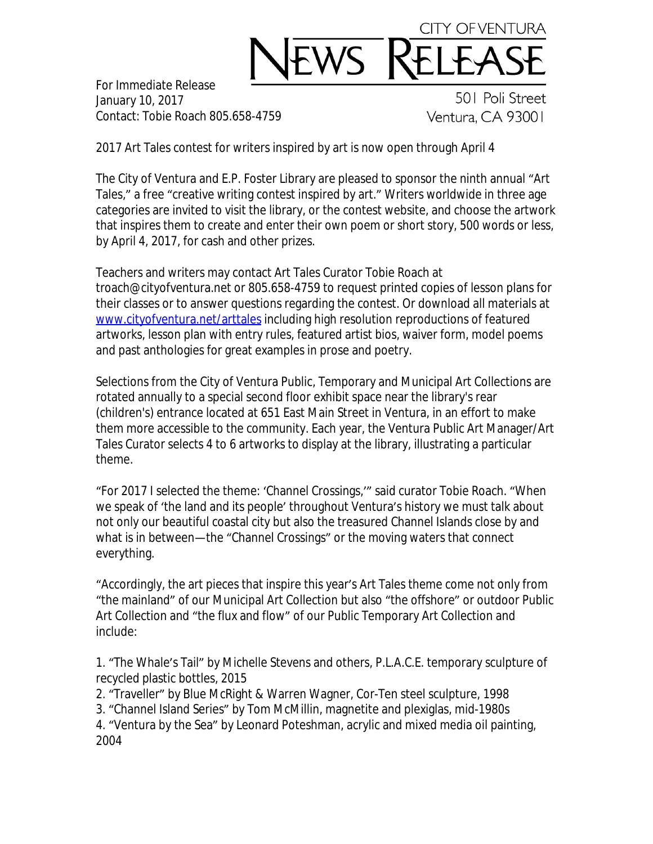

For Immediate Release January 10, 2017 Contact: Tobie Roach 805.658-4759

501 Poli Street Ventura, CA 93001

2017 Art Tales contest for writers inspired by art is now open through April 4

The City of Ventura and E.P. Foster Library are pleased to sponsor the ninth annual "Art Tales," a free "creative writing contest inspired by art." Writers worldwide in three age categories are invited to visit the library, or the contest website, and choose the artwork that inspires them to create and enter their own poem or short story, 500 words or less, by April 4, 2017, for cash and other prizes.

Teachers and writers may contact Art Tales Curator Tobie Roach at troach@cityofventura.net or 805.658-4759 to request printed copies of lesson plans for their classes or to answer questions regarding the contest. Or download all materials at [www.cityofventura.net/arttales](http://www.cityofventura.net/arttales) including high resolution reproductions of featured artworks, lesson plan with entry rules, featured artist bios, waiver form, model poems and past anthologies for great examples in prose and poetry.

Selections from the City of Ventura Public, Temporary and Municipal Art Collections are rotated annually to a special second floor exhibit space near the library's rear (children's) entrance located at 651 East Main Street in Ventura, in an effort to make them more accessible to the community. Each year, the Ventura Public Art Manager/Art Tales Curator selects 4 to 6 artworks to display at the library, illustrating a particular theme.

"For 2017 I selected the theme: 'Channel Crossings,'" said curator Tobie Roach. "When we speak of 'the land and its people' throughout Ventura's history we must talk about not only our beautiful coastal city but also the treasured Channel Islands close by and what is in between—the "Channel Crossings" or the moving waters that connect everything.

"Accordingly, the art pieces that inspire this year's Art Tales theme come not only from "the mainland" of our Municipal Art Collection but also "the offshore" or outdoor Public Art Collection and "the flux and flow" of our Public Temporary Art Collection and include:

1. "The Whale's Tail" by Michelle Stevens and others, P.L.A.C.E. temporary sculpture of recycled plastic bottles, 2015

2. "Traveller" by Blue McRight & Warren Wagner, Cor-Ten steel sculpture, 1998

3. "Channel Island Series" by Tom McMillin, magnetite and plexiglas, mid-1980s

4. "Ventura by the Sea" by Leonard Poteshman, acrylic and mixed media oil painting, 2004